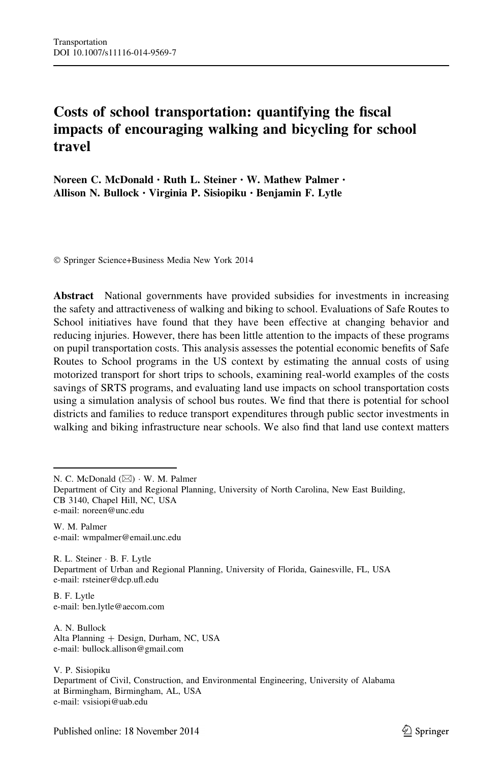# Costs of school transportation: quantifying the fiscal impacts of encouraging walking and bicycling for school travel

Noreen C. McDonald • Ruth L. Steiner • W. Mathew Palmer • Allison N. Bullock • Virginia P. Sisiopiku • Benjamin F. Lytle

- Springer Science+Business Media New York 2014

Abstract National governments have provided subsidies for investments in increasing the safety and attractiveness of walking and biking to school. Evaluations of Safe Routes to School initiatives have found that they have been effective at changing behavior and reducing injuries. However, there has been little attention to the impacts of these programs on pupil transportation costs. This analysis assesses the potential economic benefits of Safe Routes to School programs in the US context by estimating the annual costs of using motorized transport for short trips to schools, examining real-world examples of the costs savings of SRTS programs, and evaluating land use impacts on school transportation costs using a simulation analysis of school bus routes. We find that there is potential for school districts and families to reduce transport expenditures through public sector investments in walking and biking infrastructure near schools. We also find that land use context matters

N. C. McDonald (&) - W. M. Palmer

W. M. Palmer e-mail: wmpalmer@email.unc.edu

R. L. Steiner - B. F. Lytle Department of Urban and Regional Planning, University of Florida, Gainesville, FL, USA e-mail: rsteiner@dcp.ufl.edu

B. F. Lytle e-mail: ben.lytle@aecom.com

A. N. Bullock Alta Planning + Design, Durham, NC, USA e-mail: bullock.allison@gmail.com

V. P. Sisiopiku Department of Civil, Construction, and Environmental Engineering, University of Alabama at Birmingham, Birmingham, AL, USA e-mail: vsisiopi@uab.edu

Department of City and Regional Planning, University of North Carolina, New East Building, CB 3140, Chapel Hill, NC, USA e-mail: noreen@unc.edu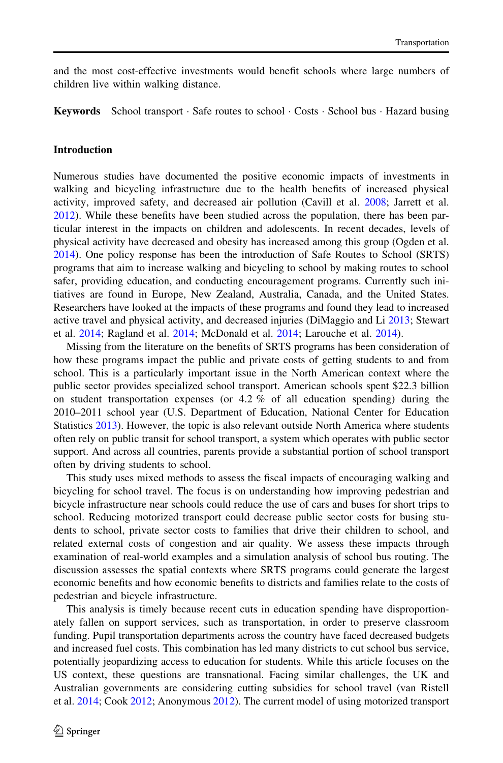and the most cost-effective investments would benefit schools where large numbers of children live within walking distance.

Keywords School transport · Safe routes to school · Costs · School bus · Hazard busing

### Introduction

Numerous studies have documented the positive economic impacts of investments in walking and bicycling infrastructure due to the health benefits of increased physical activity, improved safety, and decreased air pollution (Cavill et al. [2008;](#page-14-0) Jarrett et al. [2012\)](#page-14-0). While these benefits have been studied across the population, there has been particular interest in the impacts on children and adolescents. In recent decades, levels of physical activity have decreased and obesity has increased among this group (Ogden et al. [2014\)](#page-15-0). One policy response has been the introduction of Safe Routes to School (SRTS) programs that aim to increase walking and bicycling to school by making routes to school safer, providing education, and conducting encouragement programs. Currently such initiatives are found in Europe, New Zealand, Australia, Canada, and the United States. Researchers have looked at the impacts of these programs and found they lead to increased active travel and physical activity, and decreased injuries (DiMaggio and Li [2013](#page-14-0); Stewart et al. [2014](#page-15-0); Ragland et al. [2014](#page-15-0); McDonald et al. [2014](#page-15-0); Larouche et al. [2014](#page-15-0)).

Missing from the literature on the benefits of SRTS programs has been consideration of how these programs impact the public and private costs of getting students to and from school. This is a particularly important issue in the North American context where the public sector provides specialized school transport. American schools spent \$22.3 billion on student transportation expenses (or  $4.2\%$  of all education spending) during the 2010–2011 school year (U.S. Department of Education, National Center for Education Statistics [2013\)](#page-15-0). However, the topic is also relevant outside North America where students often rely on public transit for school transport, a system which operates with public sector support. And across all countries, parents provide a substantial portion of school transport often by driving students to school.

This study uses mixed methods to assess the fiscal impacts of encouraging walking and bicycling for school travel. The focus is on understanding how improving pedestrian and bicycle infrastructure near schools could reduce the use of cars and buses for short trips to school. Reducing motorized transport could decrease public sector costs for busing students to school, private sector costs to families that drive their children to school, and related external costs of congestion and air quality. We assess these impacts through examination of real-world examples and a simulation analysis of school bus routing. The discussion assesses the spatial contexts where SRTS programs could generate the largest economic benefits and how economic benefits to districts and families relate to the costs of pedestrian and bicycle infrastructure.

This analysis is timely because recent cuts in education spending have disproportionately fallen on support services, such as transportation, in order to preserve classroom funding. Pupil transportation departments across the country have faced decreased budgets and increased fuel costs. This combination has led many districts to cut school bus service, potentially jeopardizing access to education for students. While this article focuses on the US context, these questions are transnational. Facing similar challenges, the UK and Australian governments are considering cutting subsidies for school travel (van Ristell et al. [2014](#page-15-0); Cook [2012;](#page-14-0) Anonymous [2012](#page-14-0)). The current model of using motorized transport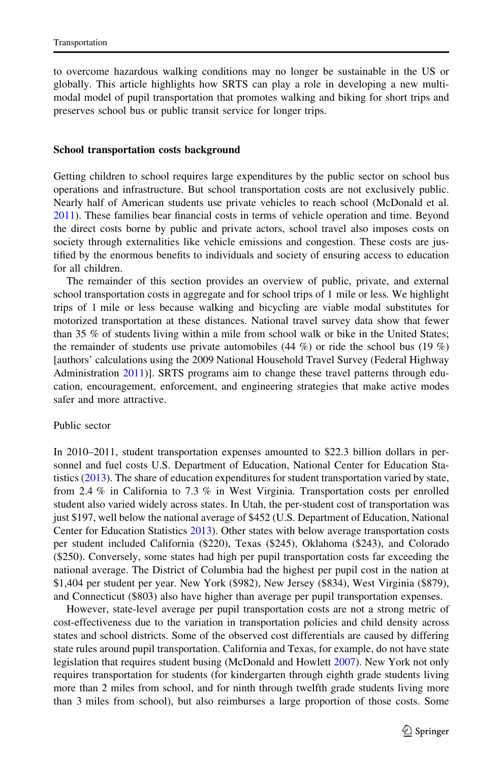to overcome hazardous walking conditions may no longer be sustainable in the US or globally. This article highlights how SRTS can play a role in developing a new multimodal model of pupil transportation that promotes walking and biking for short trips and preserves school bus or public transit service for longer trips.

### School transportation costs background

Getting children to school requires large expenditures by the public sector on school bus operations and infrastructure. But school transportation costs are not exclusively public. Nearly half of American students use private vehicles to reach school (McDonald et al. [2011\)](#page-15-0). These families bear financial costs in terms of vehicle operation and time. Beyond the direct costs borne by public and private actors, school travel also imposes costs on society through externalities like vehicle emissions and congestion. These costs are justified by the enormous benefits to individuals and society of ensuring access to education for all children.

The remainder of this section provides an overview of public, private, and external school transportation costs in aggregate and for school trips of 1 mile or less. We highlight trips of 1 mile or less because walking and bicycling are viable modal substitutes for motorized transportation at these distances. National travel survey data show that fewer than 35 % of students living within a mile from school walk or bike in the United States; the remainder of students use private automobiles  $(44 \%)$  or ride the school bus  $(19 \%)$ [authors' calculations using the 2009 National Household Travel Survey (Federal Highway Administration [2011](#page-14-0))]. SRTS programs aim to change these travel patterns through education, encouragement, enforcement, and engineering strategies that make active modes safer and more attractive.

### Public sector

In 2010–2011, student transportation expenses amounted to \$22.3 billion dollars in personnel and fuel costs U.S. Department of Education, National Center for Education Statistics [\(2013\)](#page-15-0). The share of education expenditures for student transportation varied by state, from 2.4 % in California to 7.3 % in West Virginia. Transportation costs per enrolled student also varied widely across states. In Utah, the per-student cost of transportation was just \$197, well below the national average of \$452 (U.S. Department of Education, National Center for Education Statistics [2013](#page-15-0)). Other states with below average transportation costs per student included California (\$220), Texas (\$245), Oklahoma (\$243), and Colorado (\$250). Conversely, some states had high per pupil transportation costs far exceeding the national average. The District of Columbia had the highest per pupil cost in the nation at \$1,404 per student per year. New York (\$982), New Jersey (\$834), West Virginia (\$879), and Connecticut (\$803) also have higher than average per pupil transportation expenses.

However, state-level average per pupil transportation costs are not a strong metric of cost-effectiveness due to the variation in transportation policies and child density across states and school districts. Some of the observed cost differentials are caused by differing state rules around pupil transportation. California and Texas, for example, do not have state legislation that requires student busing (McDonald and Howlett [2007\)](#page-15-0). New York not only requires transportation for students (for kindergarten through eighth grade students living more than 2 miles from school, and for ninth through twelfth grade students living more than 3 miles from school), but also reimburses a large proportion of those costs. Some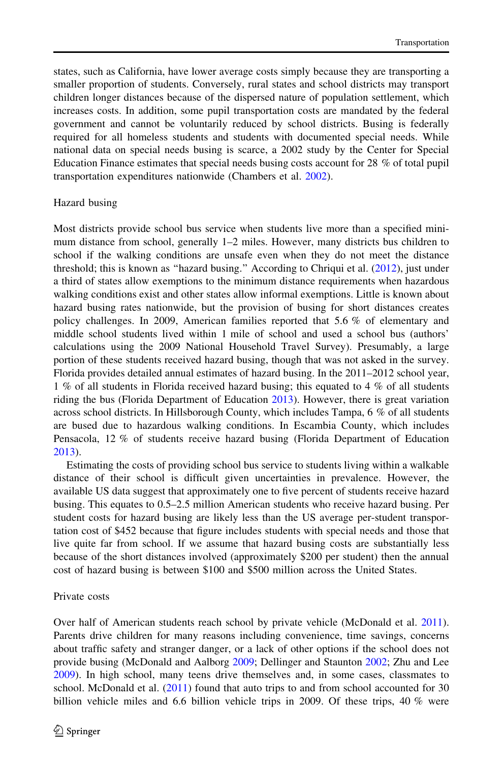states, such as California, have lower average costs simply because they are transporting a smaller proportion of students. Conversely, rural states and school districts may transport children longer distances because of the dispersed nature of population settlement, which increases costs. In addition, some pupil transportation costs are mandated by the federal government and cannot be voluntarily reduced by school districts. Busing is federally required for all homeless students and students with documented special needs. While national data on special needs busing is scarce, a 2002 study by the Center for Special Education Finance estimates that special needs busing costs account for 28 % of total pupil transportation expenditures nationwide (Chambers et al. [2002\)](#page-14-0).

## Hazard busing

Most districts provide school bus service when students live more than a specified minimum distance from school, generally 1–2 miles. However, many districts bus children to school if the walking conditions are unsafe even when they do not meet the distance threshold; this is known as "hazard busing." According to Chriqui et al.  $(2012)$  $(2012)$ , just under a third of states allow exemptions to the minimum distance requirements when hazardous walking conditions exist and other states allow informal exemptions. Little is known about hazard busing rates nationwide, but the provision of busing for short distances creates policy challenges. In 2009, American families reported that 5.6 % of elementary and middle school students lived within 1 mile of school and used a school bus (authors' calculations using the 2009 National Household Travel Survey). Presumably, a large portion of these students received hazard busing, though that was not asked in the survey. Florida provides detailed annual estimates of hazard busing. In the 2011–2012 school year, 1 % of all students in Florida received hazard busing; this equated to 4 % of all students riding the bus (Florida Department of Education [2013](#page-14-0)). However, there is great variation across school districts. In Hillsborough County, which includes Tampa, 6 % of all students are bused due to hazardous walking conditions. In Escambia County, which includes Pensacola, 12 % of students receive hazard busing (Florida Department of Education [2013\)](#page-14-0).

Estimating the costs of providing school bus service to students living within a walkable distance of their school is difficult given uncertainties in prevalence. However, the available US data suggest that approximately one to five percent of students receive hazard busing. This equates to 0.5–2.5 million American students who receive hazard busing. Per student costs for hazard busing are likely less than the US average per-student transportation cost of \$452 because that figure includes students with special needs and those that live quite far from school. If we assume that hazard busing costs are substantially less because of the short distances involved (approximately \$200 per student) then the annual cost of hazard busing is between \$100 and \$500 million across the United States.

### Private costs

Over half of American students reach school by private vehicle (McDonald et al. [2011](#page-15-0)). Parents drive children for many reasons including convenience, time savings, concerns about traffic safety and stranger danger, or a lack of other options if the school does not provide busing (McDonald and Aalborg [2009](#page-15-0); Dellinger and Staunton [2002](#page-14-0); Zhu and Lee [2009\)](#page-15-0). In high school, many teens drive themselves and, in some cases, classmates to school. McDonald et al.  $(2011)$  $(2011)$  found that auto trips to and from school accounted for 30 billion vehicle miles and 6.6 billion vehicle trips in 2009. Of these trips, 40 % were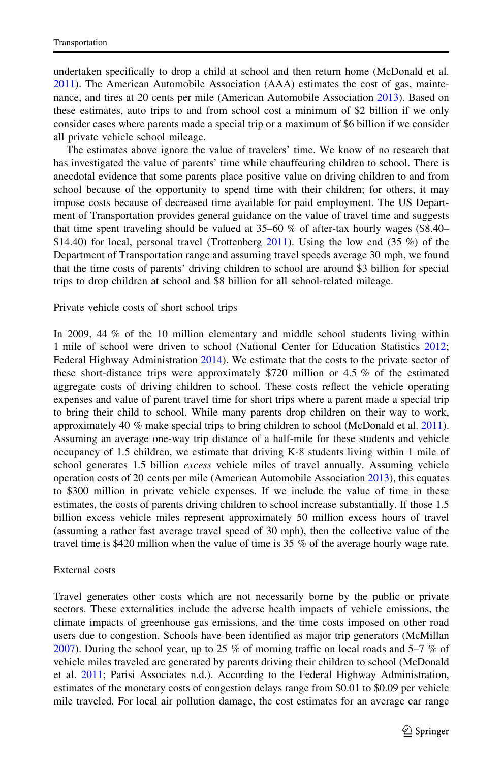undertaken specifically to drop a child at school and then return home (McDonald et al. [2011\)](#page-15-0). The American Automobile Association (AAA) estimates the cost of gas, maintenance, and tires at 20 cents per mile (American Automobile Association [2013\)](#page-14-0). Based on these estimates, auto trips to and from school cost a minimum of \$2 billion if we only consider cases where parents made a special trip or a maximum of \$6 billion if we consider all private vehicle school mileage.

The estimates above ignore the value of travelers' time. We know of no research that has investigated the value of parents' time while chauffeuring children to school. There is anecdotal evidence that some parents place positive value on driving children to and from school because of the opportunity to spend time with their children; for others, it may impose costs because of decreased time available for paid employment. The US Department of Transportation provides general guidance on the value of travel time and suggests that time spent traveling should be valued at 35–60 % of after-tax hourly wages (\$8.40– \$14.40) for local, personal travel (Trottenberg [2011\)](#page-15-0). Using the low end  $(35\%)$  of the Department of Transportation range and assuming travel speeds average 30 mph, we found that the time costs of parents' driving children to school are around \$3 billion for special trips to drop children at school and \$8 billion for all school-related mileage.

Private vehicle costs of short school trips

In 2009, 44 % of the 10 million elementary and middle school students living within 1 mile of school were driven to school (National Center for Education Statistics [2012;](#page-15-0) Federal Highway Administration [2014](#page-14-0)). We estimate that the costs to the private sector of these short-distance trips were approximately \$720 million or 4.5 % of the estimated aggregate costs of driving children to school. These costs reflect the vehicle operating expenses and value of parent travel time for short trips where a parent made a special trip to bring their child to school. While many parents drop children on their way to work, approximately 40 % make special trips to bring children to school (McDonald et al. [2011](#page-15-0)). Assuming an average one-way trip distance of a half-mile for these students and vehicle occupancy of 1.5 children, we estimate that driving K-8 students living within 1 mile of school generates 1.5 billion excess vehicle miles of travel annually. Assuming vehicle operation costs of 20 cents per mile (American Automobile Association [2013](#page-14-0)), this equates to \$300 million in private vehicle expenses. If we include the value of time in these estimates, the costs of parents driving children to school increase substantially. If those 1.5 billion excess vehicle miles represent approximately 50 million excess hours of travel (assuming a rather fast average travel speed of 30 mph), then the collective value of the travel time is \$420 million when the value of time is 35 % of the average hourly wage rate.

### External costs

Travel generates other costs which are not necessarily borne by the public or private sectors. These externalities include the adverse health impacts of vehicle emissions, the climate impacts of greenhouse gas emissions, and the time costs imposed on other road users due to congestion. Schools have been identified as major trip generators (McMillan [2007\)](#page-15-0). During the school year, up to 25 % of morning traffic on local roads and 5–7 % of vehicle miles traveled are generated by parents driving their children to school (McDonald et al. [2011;](#page-15-0) Parisi Associates n.d.). According to the Federal Highway Administration, estimates of the monetary costs of congestion delays range from \$0.01 to \$0.09 per vehicle mile traveled. For local air pollution damage, the cost estimates for an average car range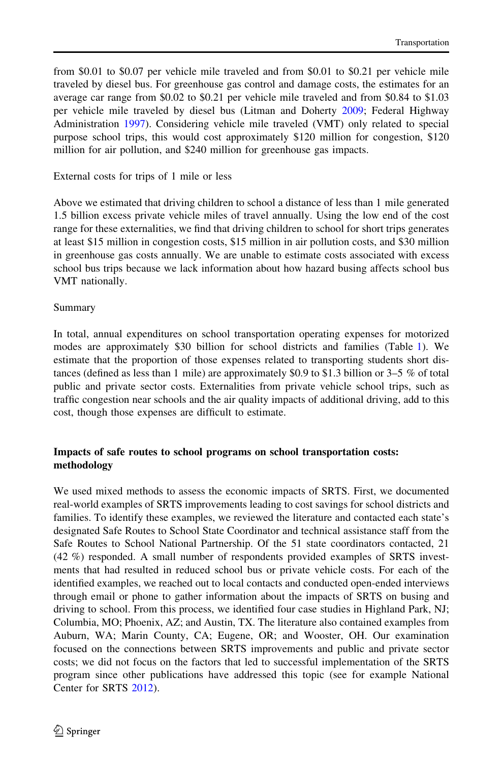from \$0.01 to \$0.07 per vehicle mile traveled and from \$0.01 to \$0.21 per vehicle mile traveled by diesel bus. For greenhouse gas control and damage costs, the estimates for an average car range from \$0.02 to \$0.21 per vehicle mile traveled and from \$0.84 to \$1.03 per vehicle mile traveled by diesel bus (Litman and Doherty [2009;](#page-15-0) Federal Highway Administration [1997\)](#page-14-0). Considering vehicle mile traveled (VMT) only related to special purpose school trips, this would cost approximately \$120 million for congestion, \$120 million for air pollution, and \$240 million for greenhouse gas impacts.

External costs for trips of 1 mile or less

Above we estimated that driving children to school a distance of less than 1 mile generated 1.5 billion excess private vehicle miles of travel annually. Using the low end of the cost range for these externalities, we find that driving children to school for short trips generates at least \$15 million in congestion costs, \$15 million in air pollution costs, and \$30 million in greenhouse gas costs annually. We are unable to estimate costs associated with excess school bus trips because we lack information about how hazard busing affects school bus VMT nationally.

# Summary

In total, annual expenditures on school transportation operating expenses for motorized modes are approximately \$30 billion for school districts and families (Table [1\)](#page-6-0). We estimate that the proportion of those expenses related to transporting students short distances (defined as less than 1 mile) are approximately \$0.9 to \$1.3 billion or  $3-5\%$  of total public and private sector costs. Externalities from private vehicle school trips, such as traffic congestion near schools and the air quality impacts of additional driving, add to this cost, though those expenses are difficult to estimate.

# Impacts of safe routes to school programs on school transportation costs: methodology

We used mixed methods to assess the economic impacts of SRTS. First, we documented real-world examples of SRTS improvements leading to cost savings for school districts and families. To identify these examples, we reviewed the literature and contacted each state's designated Safe Routes to School State Coordinator and technical assistance staff from the Safe Routes to School National Partnership. Of the 51 state coordinators contacted, 21 (42 %) responded. A small number of respondents provided examples of SRTS investments that had resulted in reduced school bus or private vehicle costs. For each of the identified examples, we reached out to local contacts and conducted open-ended interviews through email or phone to gather information about the impacts of SRTS on busing and driving to school. From this process, we identified four case studies in Highland Park, NJ; Columbia, MO; Phoenix, AZ; and Austin, TX. The literature also contained examples from Auburn, WA; Marin County, CA; Eugene, OR; and Wooster, OH. Our examination focused on the connections between SRTS improvements and public and private sector costs; we did not focus on the factors that led to successful implementation of the SRTS program since other publications have addressed this topic (see for example National Center for SRTS [2012](#page-15-0)).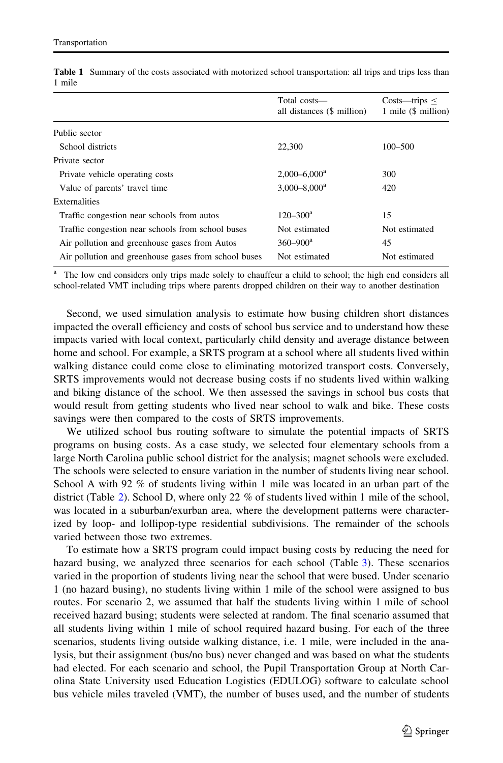|                                                      | Total costs—<br>all distances (\$ million) | Costs—trips <<br>1 mile (\$ million) |
|------------------------------------------------------|--------------------------------------------|--------------------------------------|
| Public sector                                        |                                            |                                      |
| School districts                                     | 22,300                                     | 100-500                              |
| Private sector                                       |                                            |                                      |
| Private vehicle operating costs                      | $2,000 - 6,000^a$                          | 300                                  |
| Value of parents' travel time                        | $3,000 - 8,000^a$                          | 420                                  |
| Externalities                                        |                                            |                                      |
| Traffic congestion near schools from autos           | $120 - 300^{\circ}$                        | 15                                   |
| Traffic congestion near schools from school buses    | Not estimated                              | Not estimated                        |
| Air pollution and greenhouse gases from Autos        | $360 - 900^{\rm a}$                        | 45                                   |
| Air pollution and greenhouse gases from school buses | Not estimated                              | Not estimated                        |

<span id="page-6-0"></span>Table 1 Summary of the costs associated with motorized school transportation: all trips and trips less than 1 mile

The low end considers only trips made solely to chauffeur a child to school; the high end considers all school-related VMT including trips where parents dropped children on their way to another destination

Second, we used simulation analysis to estimate how busing children short distances impacted the overall efficiency and costs of school bus service and to understand how these impacts varied with local context, particularly child density and average distance between home and school. For example, a SRTS program at a school where all students lived within walking distance could come close to eliminating motorized transport costs. Conversely, SRTS improvements would not decrease busing costs if no students lived within walking and biking distance of the school. We then assessed the savings in school bus costs that would result from getting students who lived near school to walk and bike. These costs savings were then compared to the costs of SRTS improvements.

We utilized school bus routing software to simulate the potential impacts of SRTS programs on busing costs. As a case study, we selected four elementary schools from a large North Carolina public school district for the analysis; magnet schools were excluded. The schools were selected to ensure variation in the number of students living near school. School A with 92 % of students living within 1 mile was located in an urban part of the district (Table [2](#page-7-0)). School D, where only 22 % of students lived within 1 mile of the school, was located in a suburban/exurban area, where the development patterns were characterized by loop- and lollipop-type residential subdivisions. The remainder of the schools varied between those two extremes.

To estimate how a SRTS program could impact busing costs by reducing the need for hazard busing, we analyzed three scenarios for each school (Table [3](#page-7-0)). These scenarios varied in the proportion of students living near the school that were bused. Under scenario 1 (no hazard busing), no students living within 1 mile of the school were assigned to bus routes. For scenario 2, we assumed that half the students living within 1 mile of school received hazard busing; students were selected at random. The final scenario assumed that all students living within 1 mile of school required hazard busing. For each of the three scenarios, students living outside walking distance, i.e. 1 mile, were included in the analysis, but their assignment (bus/no bus) never changed and was based on what the students had elected. For each scenario and school, the Pupil Transportation Group at North Carolina State University used Education Logistics (EDULOG) software to calculate school bus vehicle miles traveled (VMT), the number of buses used, and the number of students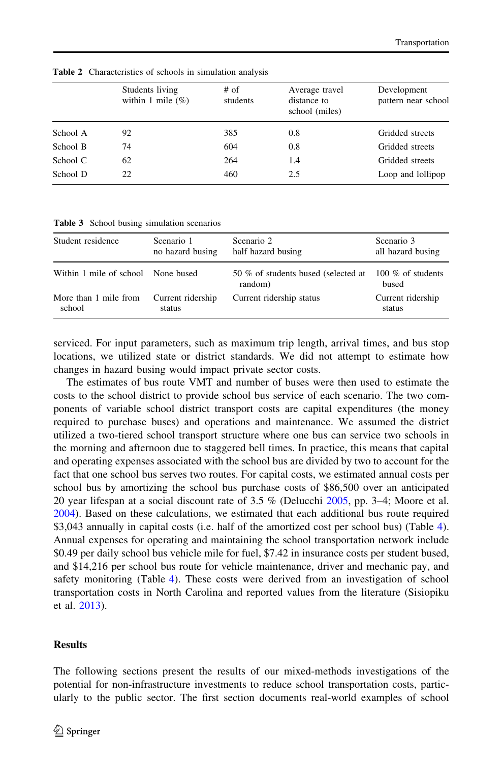|          | Students living<br>within 1 mile $(\% )$ | $#$ of<br>students | Average travel<br>distance to<br>school (miles) | Development<br>pattern near school |
|----------|------------------------------------------|--------------------|-------------------------------------------------|------------------------------------|
| School A | 92                                       | 385                | 0.8                                             | Gridded streets                    |
| School B | 74                                       | 604                | 0.8                                             | Gridded streets                    |
| School C | 62                                       | 264                | 1.4                                             | Gridded streets                    |
| School D | 22                                       | 460                | 2.5                                             | Loop and lollipop                  |

<span id="page-7-0"></span>Table 2 Characteristics of schools in simulation analysis

Table 3 School busing simulation scenarios

| Student residence                  | Scenario 1        | Scenario 2                                     | Scenario 3                   |
|------------------------------------|-------------------|------------------------------------------------|------------------------------|
|                                    | no hazard busing  | half hazard busing                             | all hazard busing            |
| Within 1 mile of school None bused |                   | 50 % of students bused (selected at<br>random) | $100\%$ of students<br>bused |
| More than 1 mile from              | Current ridership | Current ridership status                       | Current ridership            |
| school                             | status            |                                                | status                       |

serviced. For input parameters, such as maximum trip length, arrival times, and bus stop locations, we utilized state or district standards. We did not attempt to estimate how changes in hazard busing would impact private sector costs.

The estimates of bus route VMT and number of buses were then used to estimate the costs to the school district to provide school bus service of each scenario. The two components of variable school district transport costs are capital expenditures (the money required to purchase buses) and operations and maintenance. We assumed the district utilized a two-tiered school transport structure where one bus can service two schools in the morning and afternoon due to staggered bell times. In practice, this means that capital and operating expenses associated with the school bus are divided by two to account for the fact that one school bus serves two routes. For capital costs, we estimated annual costs per school bus by amortizing the school bus purchase costs of \$86,500 over an anticipated 20 year lifespan at a social discount rate of 3.5 % (Delucchi [2005](#page-14-0), pp. 3–4; Moore et al. [2004\)](#page-15-0). Based on these calculations, we estimated that each additional bus route required \$3,043 annually in capital costs (i.e. half of the amortized cost per school bus) (Table [4](#page-8-0)). Annual expenses for operating and maintaining the school transportation network include \$0.49 per daily school bus vehicle mile for fuel, \$7.42 in insurance costs per student bused, and \$14,216 per school bus route for vehicle maintenance, driver and mechanic pay, and safety monitoring (Table [4\)](#page-8-0). These costs were derived from an investigation of school transportation costs in North Carolina and reported values from the literature (Sisiopiku et al. [2013](#page-15-0)).

# **Results**

The following sections present the results of our mixed-methods investigations of the potential for non-infrastructure investments to reduce school transportation costs, particularly to the public sector. The first section documents real-world examples of school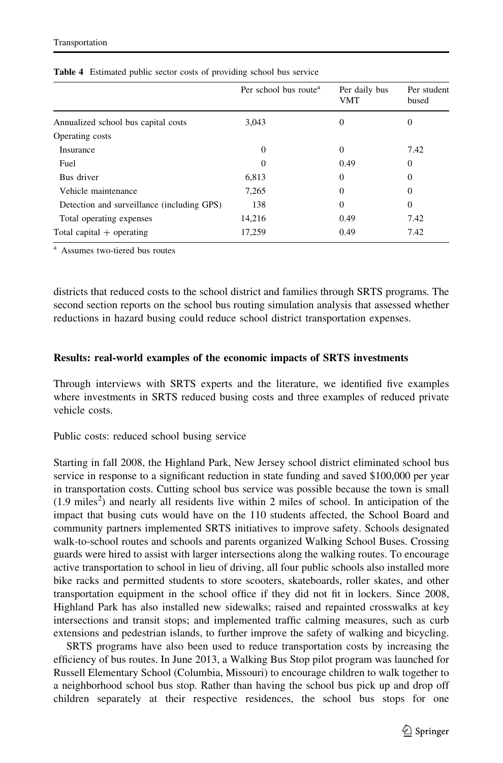|                                            | Per school bus route <sup>a</sup> | Per daily bus<br>VMT | Per student<br>bused |
|--------------------------------------------|-----------------------------------|----------------------|----------------------|
| Annualized school bus capital costs        | 3,043                             | 0                    | $\Omega$             |
| Operating costs                            |                                   |                      |                      |
| Insurance                                  | $\Omega$                          | 0                    | 7.42                 |
| Fuel                                       | 0                                 | 0.49                 | 0                    |
| Bus driver                                 | 6,813                             | 0                    | 0                    |
| Vehicle maintenance                        | 7,265                             | 0                    | $\theta$             |
| Detection and surveillance (including GPS) | 138                               | 0                    | $\Omega$             |
| Total operating expenses                   | 14,216                            | 0.49                 | 7.42                 |
| Total capital $+$ operating                | 17,259                            | 0.49                 | 7.42                 |

<span id="page-8-0"></span>Table 4 Estimated public sector costs of providing school bus service

<sup>a</sup> Assumes two-tiered bus routes

districts that reduced costs to the school district and families through SRTS programs. The second section reports on the school bus routing simulation analysis that assessed whether reductions in hazard busing could reduce school district transportation expenses.

### Results: real-world examples of the economic impacts of SRTS investments

Through interviews with SRTS experts and the literature, we identified five examples where investments in SRTS reduced busing costs and three examples of reduced private vehicle costs.

Public costs: reduced school busing service

Starting in fall 2008, the Highland Park, New Jersey school district eliminated school bus service in response to a significant reduction in state funding and saved \$100,000 per year in transportation costs. Cutting school bus service was possible because the town is small  $(1.9 \text{ miles}^2)$  and nearly all residents live within 2 miles of school. In anticipation of the impact that busing cuts would have on the 110 students affected, the School Board and community partners implemented SRTS initiatives to improve safety. Schools designated walk-to-school routes and schools and parents organized Walking School Buses. Crossing guards were hired to assist with larger intersections along the walking routes. To encourage active transportation to school in lieu of driving, all four public schools also installed more bike racks and permitted students to store scooters, skateboards, roller skates, and other transportation equipment in the school office if they did not fit in lockers. Since 2008, Highland Park has also installed new sidewalks; raised and repainted crosswalks at key intersections and transit stops; and implemented traffic calming measures, such as curb extensions and pedestrian islands, to further improve the safety of walking and bicycling.

SRTS programs have also been used to reduce transportation costs by increasing the efficiency of bus routes. In June 2013, a Walking Bus Stop pilot program was launched for Russell Elementary School (Columbia, Missouri) to encourage children to walk together to a neighborhood school bus stop. Rather than having the school bus pick up and drop off children separately at their respective residences, the school bus stops for one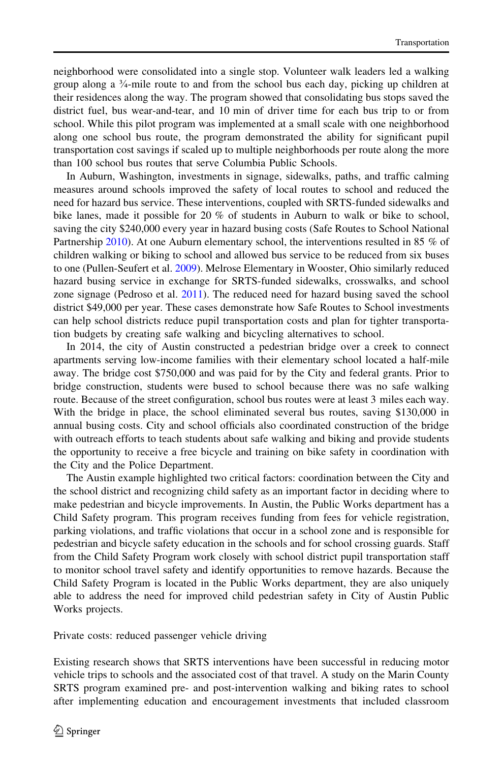neighborhood were consolidated into a single stop. Volunteer walk leaders led a walking group along a  $\frac{3}{4}$ -mile route to and from the school bus each day, picking up children at their residences along the way. The program showed that consolidating bus stops saved the district fuel, bus wear-and-tear, and 10 min of driver time for each bus trip to or from school. While this pilot program was implemented at a small scale with one neighborhood along one school bus route, the program demonstrated the ability for significant pupil transportation cost savings if scaled up to multiple neighborhoods per route along the more than 100 school bus routes that serve Columbia Public Schools.

In Auburn, Washington, investments in signage, sidewalks, paths, and traffic calming measures around schools improved the safety of local routes to school and reduced the need for hazard bus service. These interventions, coupled with SRTS-funded sidewalks and bike lanes, made it possible for 20 % of students in Auburn to walk or bike to school, saving the city \$240,000 every year in hazard busing costs (Safe Routes to School National Partnership [2010](#page-15-0)). At one Auburn elementary school, the interventions resulted in 85 % of children walking or biking to school and allowed bus service to be reduced from six buses to one (Pullen-Seufert et al. [2009](#page-15-0)). Melrose Elementary in Wooster, Ohio similarly reduced hazard busing service in exchange for SRTS-funded sidewalks, crosswalks, and school zone signage (Pedroso et al. [2011\)](#page-15-0). The reduced need for hazard busing saved the school district \$49,000 per year. These cases demonstrate how Safe Routes to School investments can help school districts reduce pupil transportation costs and plan for tighter transportation budgets by creating safe walking and bicycling alternatives to school.

In 2014, the city of Austin constructed a pedestrian bridge over a creek to connect apartments serving low-income families with their elementary school located a half-mile away. The bridge cost \$750,000 and was paid for by the City and federal grants. Prior to bridge construction, students were bused to school because there was no safe walking route. Because of the street configuration, school bus routes were at least 3 miles each way. With the bridge in place, the school eliminated several bus routes, saving \$130,000 in annual busing costs. City and school officials also coordinated construction of the bridge with outreach efforts to teach students about safe walking and biking and provide students the opportunity to receive a free bicycle and training on bike safety in coordination with the City and the Police Department.

The Austin example highlighted two critical factors: coordination between the City and the school district and recognizing child safety as an important factor in deciding where to make pedestrian and bicycle improvements. In Austin, the Public Works department has a Child Safety program. This program receives funding from fees for vehicle registration, parking violations, and traffic violations that occur in a school zone and is responsible for pedestrian and bicycle safety education in the schools and for school crossing guards. Staff from the Child Safety Program work closely with school district pupil transportation staff to monitor school travel safety and identify opportunities to remove hazards. Because the Child Safety Program is located in the Public Works department, they are also uniquely able to address the need for improved child pedestrian safety in City of Austin Public Works projects.

Private costs: reduced passenger vehicle driving

Existing research shows that SRTS interventions have been successful in reducing motor vehicle trips to schools and the associated cost of that travel. A study on the Marin County SRTS program examined pre- and post-intervention walking and biking rates to school after implementing education and encouragement investments that included classroom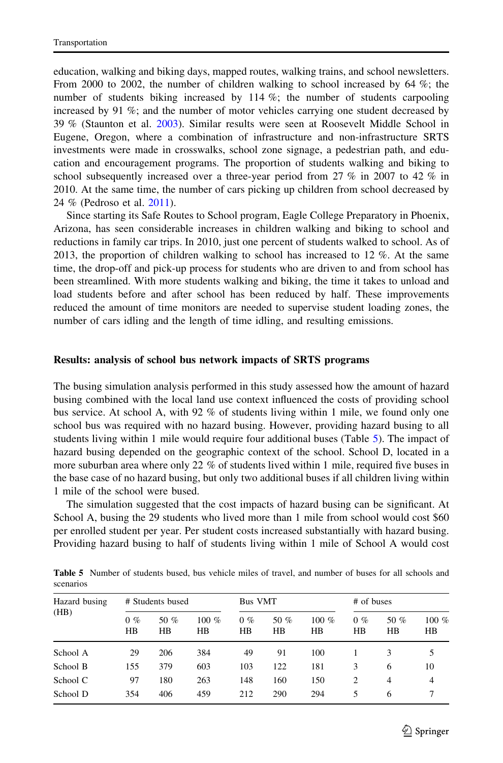education, walking and biking days, mapped routes, walking trains, and school newsletters. From 2000 to 2002, the number of children walking to school increased by 64  $\%$ ; the number of students biking increased by 114 %; the number of students carpooling increased by 91 %; and the number of motor vehicles carrying one student decreased by 39 % (Staunton et al. [2003\)](#page-15-0). Similar results were seen at Roosevelt Middle School in Eugene, Oregon, where a combination of infrastructure and non-infrastructure SRTS investments were made in crosswalks, school zone signage, a pedestrian path, and education and encouragement programs. The proportion of students walking and biking to school subsequently increased over a three-year period from 27 % in 2007 to 42 % in 2010. At the same time, the number of cars picking up children from school decreased by 24 % (Pedroso et al. [2011\)](#page-15-0).

Since starting its Safe Routes to School program, Eagle College Preparatory in Phoenix, Arizona, has seen considerable increases in children walking and biking to school and reductions in family car trips. In 2010, just one percent of students walked to school. As of 2013, the proportion of children walking to school has increased to 12 %. At the same time, the drop-off and pick-up process for students who are driven to and from school has been streamlined. With more students walking and biking, the time it takes to unload and load students before and after school has been reduced by half. These improvements reduced the amount of time monitors are needed to supervise student loading zones, the number of cars idling and the length of time idling, and resulting emissions.

### Results: analysis of school bus network impacts of SRTS programs

The busing simulation analysis performed in this study assessed how the amount of hazard busing combined with the local land use context influenced the costs of providing school bus service. At school A, with 92 % of students living within 1 mile, we found only one school bus was required with no hazard busing. However, providing hazard busing to all students living within 1 mile would require four additional buses (Table 5). The impact of hazard busing depended on the geographic context of the school. School D, located in a more suburban area where only 22 % of students lived within 1 mile, required five buses in the base case of no hazard busing, but only two additional buses if all children living within 1 mile of the school were bused.

The simulation suggested that the cost impacts of hazard busing can be significant. At School A, busing the 29 students who lived more than 1 mile from school would cost \$60 per enrolled student per year. Per student costs increased substantially with hazard busing. Providing hazard busing to half of students living within 1 mile of School A would cost

| Hazard busing<br>(HB) | # Students bused     |                       | <b>Bus VMT</b> |             | # of buses |               |                      |            |               |
|-----------------------|----------------------|-----------------------|----------------|-------------|------------|---------------|----------------------|------------|---------------|
|                       | $0\%$<br>$_{\rm HB}$ | 50 $%$<br>$_{\rm HB}$ | $100\%$<br>HB  | $0\%$<br>HB | 50 %<br>HB | 100 $%$<br>HB | $0\%$<br>$_{\rm HB}$ | 50 %<br>HB | $100\%$<br>HB |
| School A              | 29                   | 206                   | 384            | 49          | 91         | 100           |                      | 3          |               |
| School B              | 155                  | 379                   | 603            | 103         | 122        | 181           | 3                    | 6          | 10            |
| School C              | 97                   | 180                   | 263            | 148         | 160        | 150           | 2                    | 4          | 4             |
| School D              | 354                  | 406                   | 459            | 212         | 290        | 294           | 5                    | 6          |               |

Table 5 Number of students bused, bus vehicle miles of travel, and number of buses for all schools and scenarios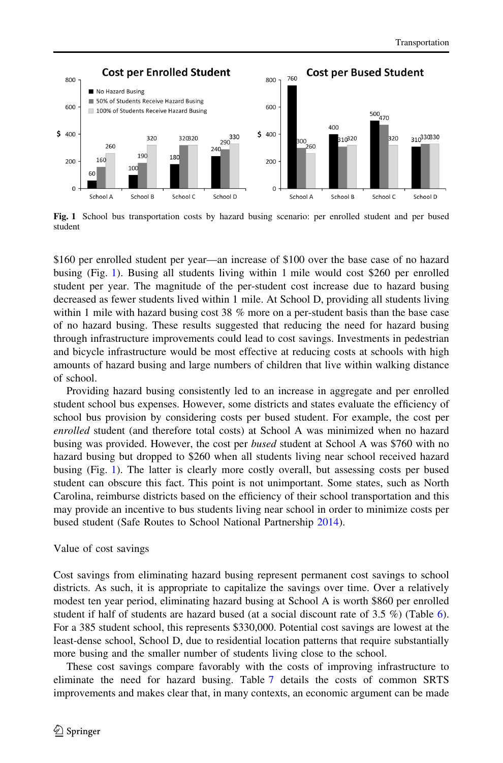

Fig. 1 School bus transportation costs by hazard busing scenario: per enrolled student and per bused student

\$160 per enrolled student per year—an increase of \$100 over the base case of no hazard busing (Fig. 1). Busing all students living within 1 mile would cost \$260 per enrolled student per year. The magnitude of the per-student cost increase due to hazard busing decreased as fewer students lived within 1 mile. At School D, providing all students living within 1 mile with hazard busing cost 38 % more on a per-student basis than the base case of no hazard busing. These results suggested that reducing the need for hazard busing through infrastructure improvements could lead to cost savings. Investments in pedestrian and bicycle infrastructure would be most effective at reducing costs at schools with high amounts of hazard busing and large numbers of children that live within walking distance of school.

Providing hazard busing consistently led to an increase in aggregate and per enrolled student school bus expenses. However, some districts and states evaluate the efficiency of school bus provision by considering costs per bused student. For example, the cost per enrolled student (and therefore total costs) at School A was minimized when no hazard busing was provided. However, the cost per *bused* student at School A was \$760 with no hazard busing but dropped to \$260 when all students living near school received hazard busing (Fig. 1). The latter is clearly more costly overall, but assessing costs per bused student can obscure this fact. This point is not unimportant. Some states, such as North Carolina, reimburse districts based on the efficiency of their school transportation and this may provide an incentive to bus students living near school in order to minimize costs per bused student (Safe Routes to School National Partnership [2014](#page-15-0)).

#### Value of cost savings

Cost savings from eliminating hazard busing represent permanent cost savings to school districts. As such, it is appropriate to capitalize the savings over time. Over a relatively modest ten year period, eliminating hazard busing at School A is worth \$860 per enrolled student if half of students are hazard bused (at a social discount rate of 3.5  $\%$ ) (Table [6](#page-12-0)). For a 385 student school, this represents \$330,000. Potential cost savings are lowest at the least-dense school, School D, due to residential location patterns that require substantially more busing and the smaller number of students living close to the school.

These cost savings compare favorably with the costs of improving infrastructure to eliminate the need for hazard busing. Table [7](#page-12-0) details the costs of common SRTS improvements and makes clear that, in many contexts, an economic argument can be made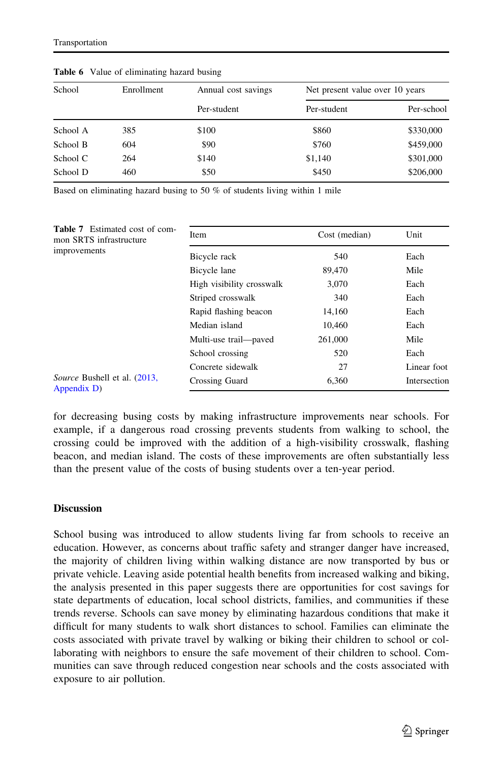| School   | Enrollment | Annual cost savings | Net present value over 10 years |            |  |
|----------|------------|---------------------|---------------------------------|------------|--|
|          |            | Per-student         | Per-student                     | Per-school |  |
| School A | 385        | \$100               | \$860                           | \$330,000  |  |
| School B | 604        | \$90                | \$760                           | \$459,000  |  |
| School C | 264        | \$140               | \$1,140                         | \$301,000  |  |
| School D | 460        | \$50                | \$450                           | \$206,000  |  |

<span id="page-12-0"></span>

|  |  | Table 6 Value of eliminating hazard busing |  |  |
|--|--|--------------------------------------------|--|--|
|--|--|--------------------------------------------|--|--|

Based on eliminating hazard busing to 50 % of students living within 1 mile

| <b>Table 7</b> Estimated cost of com-<br>mon SRTS infrastructure | Item                      | Cost (median) | Unit         |
|------------------------------------------------------------------|---------------------------|---------------|--------------|
| improvements                                                     | Bicycle rack              | 540           | Each         |
|                                                                  | Bicycle lane              | 89,470        | Mile         |
|                                                                  | High visibility crosswalk | 3.070         | Each         |
|                                                                  | Striped crosswalk         | 340           | Each         |
|                                                                  | Rapid flashing beacon     | 14,160        | Each         |
|                                                                  | Median island             | 10.460        | Each         |
|                                                                  | Multi-use trail—paved     | 261,000       | Mile         |
|                                                                  | School crossing           | 520           | Each         |
|                                                                  | Concrete sidewalk         | 27            | Linear foot  |
| Source Bushell et al. (2013,<br>Appendix D)                      | Crossing Guard            | 6.360         | Intersection |

for decreasing busing costs by making infrastructure improvements near schools. For example, if a dangerous road crossing prevents students from walking to school, the crossing could be improved with the addition of a high-visibility crosswalk, flashing beacon, and median island. The costs of these improvements are often substantially less than the present value of the costs of busing students over a ten-year period.

### Discussion

School busing was introduced to allow students living far from schools to receive an education. However, as concerns about traffic safety and stranger danger have increased, the majority of children living within walking distance are now transported by bus or private vehicle. Leaving aside potential health benefits from increased walking and biking, the analysis presented in this paper suggests there are opportunities for cost savings for state departments of education, local school districts, families, and communities if these trends reverse. Schools can save money by eliminating hazardous conditions that make it difficult for many students to walk short distances to school. Families can eliminate the costs associated with private travel by walking or biking their children to school or collaborating with neighbors to ensure the safe movement of their children to school. Communities can save through reduced congestion near schools and the costs associated with exposure to air pollution.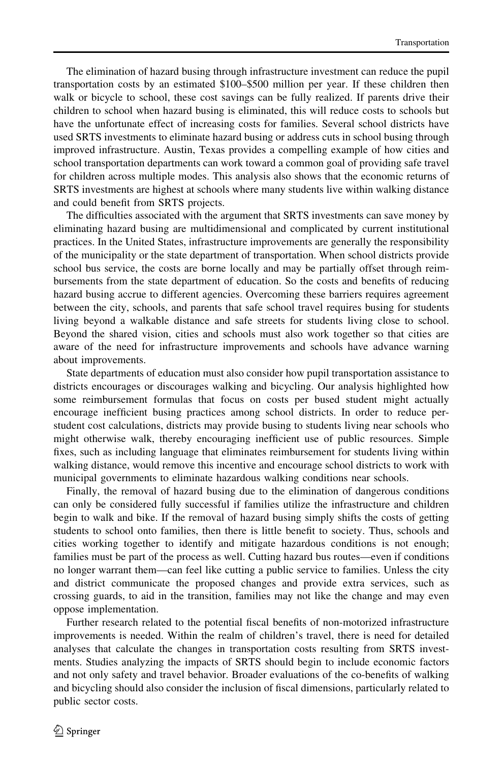The elimination of hazard busing through infrastructure investment can reduce the pupil transportation costs by an estimated \$100–\$500 million per year. If these children then walk or bicycle to school, these cost savings can be fully realized. If parents drive their children to school when hazard busing is eliminated, this will reduce costs to schools but have the unfortunate effect of increasing costs for families. Several school districts have used SRTS investments to eliminate hazard busing or address cuts in school busing through improved infrastructure. Austin, Texas provides a compelling example of how cities and school transportation departments can work toward a common goal of providing safe travel for children across multiple modes. This analysis also shows that the economic returns of SRTS investments are highest at schools where many students live within walking distance and could benefit from SRTS projects.

The difficulties associated with the argument that SRTS investments can save money by eliminating hazard busing are multidimensional and complicated by current institutional practices. In the United States, infrastructure improvements are generally the responsibility of the municipality or the state department of transportation. When school districts provide school bus service, the costs are borne locally and may be partially offset through reimbursements from the state department of education. So the costs and benefits of reducing hazard busing accrue to different agencies. Overcoming these barriers requires agreement between the city, schools, and parents that safe school travel requires busing for students living beyond a walkable distance and safe streets for students living close to school. Beyond the shared vision, cities and schools must also work together so that cities are aware of the need for infrastructure improvements and schools have advance warning about improvements.

State departments of education must also consider how pupil transportation assistance to districts encourages or discourages walking and bicycling. Our analysis highlighted how some reimbursement formulas that focus on costs per bused student might actually encourage inefficient busing practices among school districts. In order to reduce perstudent cost calculations, districts may provide busing to students living near schools who might otherwise walk, thereby encouraging inefficient use of public resources. Simple fixes, such as including language that eliminates reimbursement for students living within walking distance, would remove this incentive and encourage school districts to work with municipal governments to eliminate hazardous walking conditions near schools.

Finally, the removal of hazard busing due to the elimination of dangerous conditions can only be considered fully successful if families utilize the infrastructure and children begin to walk and bike. If the removal of hazard busing simply shifts the costs of getting students to school onto families, then there is little benefit to society. Thus, schools and cities working together to identify and mitigate hazardous conditions is not enough; families must be part of the process as well. Cutting hazard bus routes—even if conditions no longer warrant them—can feel like cutting a public service to families. Unless the city and district communicate the proposed changes and provide extra services, such as crossing guards, to aid in the transition, families may not like the change and may even oppose implementation.

Further research related to the potential fiscal benefits of non-motorized infrastructure improvements is needed. Within the realm of children's travel, there is need for detailed analyses that calculate the changes in transportation costs resulting from SRTS investments. Studies analyzing the impacts of SRTS should begin to include economic factors and not only safety and travel behavior. Broader evaluations of the co-benefits of walking and bicycling should also consider the inclusion of fiscal dimensions, particularly related to public sector costs.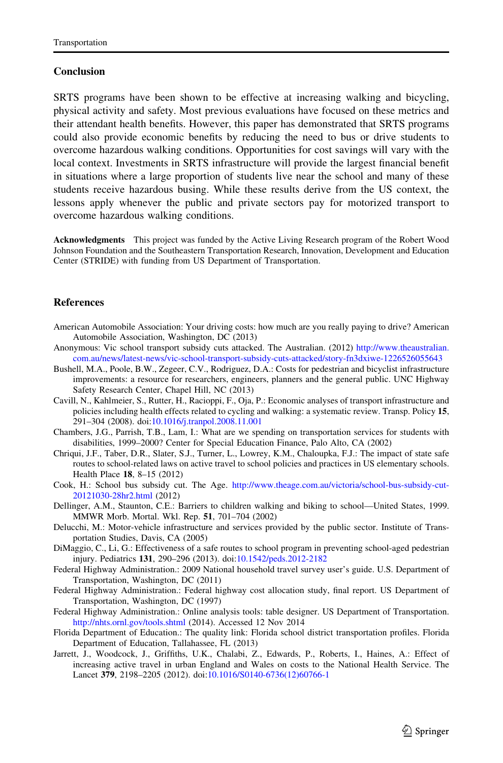### <span id="page-14-0"></span>Conclusion

SRTS programs have been shown to be effective at increasing walking and bicycling, physical activity and safety. Most previous evaluations have focused on these metrics and their attendant health benefits. However, this paper has demonstrated that SRTS programs could also provide economic benefits by reducing the need to bus or drive students to overcome hazardous walking conditions. Opportunities for cost savings will vary with the local context. Investments in SRTS infrastructure will provide the largest financial benefit in situations where a large proportion of students live near the school and many of these students receive hazardous busing. While these results derive from the US context, the lessons apply whenever the public and private sectors pay for motorized transport to overcome hazardous walking conditions.

Acknowledgments This project was funded by the Active Living Research program of the Robert Wood Johnson Foundation and the Southeastern Transportation Research, Innovation, Development and Education Center (STRIDE) with funding from US Department of Transportation.

### References

- American Automobile Association: Your driving costs: how much are you really paying to drive? American Automobile Association, Washington, DC (2013)
- Anonymous: Vic school transport subsidy cuts attacked. The Australian. (2012) [http://www.theaustralian.](http://www.theaustralian.com.au/news/latest-news/vic-school-transport-subsidy-cuts-attacked/story-fn3dxiwe-1226526055643) [com.au/news/latest-news/vic-school-transport-subsidy-cuts-attacked/story-fn3dxiwe-1226526055643](http://www.theaustralian.com.au/news/latest-news/vic-school-transport-subsidy-cuts-attacked/story-fn3dxiwe-1226526055643)
- Bushell, M.A., Poole, B.W., Zegeer, C.V., Rodriguez, D.A.: Costs for pedestrian and bicyclist infrastructure improvements: a resource for researchers, engineers, planners and the general public. UNC Highway Safety Research Center, Chapel Hill, NC (2013)
- Cavill, N., Kahlmeier, S., Rutter, H., Racioppi, F., Oja, P.: Economic analyses of transport infrastructure and policies including health effects related to cycling and walking: a systematic review. Transp. Policy 15, 291–304 (2008). doi[:10.1016/j.tranpol.2008.11.001](http://dx.doi.org/10.1016/j.tranpol.2008.11.001)
- Chambers, J.G., Parrish, T.B., Lam, I.: What are we spending on transportation services for students with disabilities, 1999–2000? Center for Special Education Finance, Palo Alto, CA (2002)
- Chriqui, J.F., Taber, D.R., Slater, S.J., Turner, L., Lowrey, K.M., Chaloupka, F.J.: The impact of state safe routes to school-related laws on active travel to school policies and practices in US elementary schools. Health Place 18, 8–15 (2012)
- Cook, H.: School bus subsidy cut. The Age. [http://www.theage.com.au/victoria/school-bus-subsidy-cut-](http://www.theage.com.au/victoria/school-bus-subsidy-cut-20121030-28hr2.html)[20121030-28hr2.html](http://www.theage.com.au/victoria/school-bus-subsidy-cut-20121030-28hr2.html) (2012)
- Dellinger, A.M., Staunton, C.E.: Barriers to children walking and biking to school—United States, 1999. MMWR Morb. Mortal. Wkl. Rep. 51, 701–704 (2002)
- Delucchi, M.: Motor-vehicle infrastructure and services provided by the public sector. Institute of Transportation Studies, Davis, CA (2005)
- DiMaggio, C., Li, G.: Effectiveness of a safe routes to school program in preventing school-aged pedestrian injury. Pediatrics 131, 290–296 (2013). doi:[10.1542/peds.2012-2182](http://dx.doi.org/10.1542/peds.2012-2182)
- Federal Highway Administration.: 2009 National household travel survey user's guide. U.S. Department of Transportation, Washington, DC (2011)
- Federal Highway Administration.: Federal highway cost allocation study, final report. US Department of Transportation, Washington, DC (1997)
- Federal Highway Administration.: Online analysis tools: table designer. US Department of Transportation. <http://nhts.ornl.gov/tools.shtml> (2014). Accessed 12 Nov 2014
- Florida Department of Education.: The quality link: Florida school district transportation profiles. Florida Department of Education, Tallahassee, FL (2013)
- Jarrett, J., Woodcock, J., Griffiths, U.K., Chalabi, Z., Edwards, P., Roberts, I., Haines, A.: Effect of increasing active travel in urban England and Wales on costs to the National Health Service. The Lancet 379, 2198–2205 (2012). doi[:10.1016/S0140-6736\(12\)60766-1](http://dx.doi.org/10.1016/S0140-6736(12)60766-1)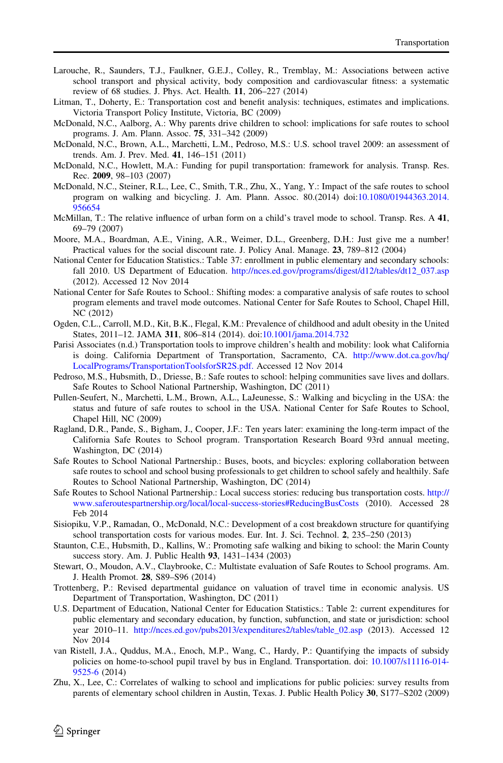- <span id="page-15-0"></span>Larouche, R., Saunders, T.J., Faulkner, G.E.J., Colley, R., Tremblay, M.: Associations between active school transport and physical activity, body composition and cardiovascular fitness: a systematic review of 68 studies. J. Phys. Act. Health. 11, 206–227 (2014)
- Litman, T., Doherty, E.: Transportation cost and benefit analysis: techniques, estimates and implications. Victoria Transport Policy Institute, Victoria, BC (2009)
- McDonald, N.C., Aalborg, A.: Why parents drive children to school: implications for safe routes to school programs. J. Am. Plann. Assoc. 75, 331–342 (2009)
- McDonald, N.C., Brown, A.L., Marchetti, L.M., Pedroso, M.S.: U.S. school travel 2009: an assessment of trends. Am. J. Prev. Med. 41, 146–151 (2011)
- McDonald, N.C., Howlett, M.A.: Funding for pupil transportation: framework for analysis. Transp. Res. Rec. 2009, 98–103 (2007)
- McDonald, N.C., Steiner, R.L., Lee, C., Smith, T.R., Zhu, X., Yang, Y.: Impact of the safe routes to school program on walking and bicycling. J. Am. Plann. Assoc. 80.(2014) doi:[10.1080/01944363.2014.](http://dx.doi.org/10.1080/01944363.2014.956654) [956654](http://dx.doi.org/10.1080/01944363.2014.956654)
- McMillan, T.: The relative influence of urban form on a child's travel mode to school. Transp. Res. A 41, 69–79 (2007)
- Moore, M.A., Boardman, A.E., Vining, A.R., Weimer, D.L., Greenberg, D.H.: Just give me a number! Practical values for the social discount rate. J. Policy Anal. Manage. 23, 789–812 (2004)
- National Center for Education Statistics.: Table 37: enrollment in public elementary and secondary schools: fall 2010. US Department of Education. [http://nces.ed.gov/programs/digest/d12/tables/dt12\\_037.asp](http://nces.ed.gov/programs/digest/d12/tables/dt12_037.asp) (2012). Accessed 12 Nov 2014
- National Center for Safe Routes to School.: Shifting modes: a comparative analysis of safe routes to school program elements and travel mode outcomes. National Center for Safe Routes to School, Chapel Hill, NC (2012)
- Ogden, C.L., Carroll, M.D., Kit, B.K., Flegal, K.M.: Prevalence of childhood and adult obesity in the United States, 2011–12. JAMA 311, 806–814 (2014). doi[:10.1001/jama.2014.732](http://dx.doi.org/10.1001/jama.2014.732)
- Parisi Associates (n.d.) Transportation tools to improve children's health and mobility: look what California is doing. California Department of Transportation, Sacramento, CA. [http://www.dot.ca.gov/hq/](http://www.dot.ca.gov/hq/LocalPrograms/TransportationToolsforSR2S.pdf.) [LocalPrograms/TransportationToolsforSR2S.pdf.](http://www.dot.ca.gov/hq/LocalPrograms/TransportationToolsforSR2S.pdf.) Accessed 12 Nov 2014
- Pedroso, M.S., Hubsmith, D., Driesse, B.: Safe routes to school: helping communities save lives and dollars. Safe Routes to School National Partnership, Washington, DC (2011)
- Pullen-Seufert, N., Marchetti, L.M., Brown, A.L., LaJeunesse, S.: Walking and bicycling in the USA: the status and future of safe routes to school in the USA. National Center for Safe Routes to School, Chapel Hill, NC (2009)
- Ragland, D.R., Pande, S., Bigham, J., Cooper, J.F.: Ten years later: examining the long-term impact of the California Safe Routes to School program. Transportation Research Board 93rd annual meeting, Washington, DC (2014)
- Safe Routes to School National Partnership.: Buses, boots, and bicycles: exploring collaboration between safe routes to school and school busing professionals to get children to school safely and healthily. Safe Routes to School National Partnership, Washington, DC (2014)
- Safe Routes to School National Partnership.: Local success stories: reducing bus transportation costs. [http://](http://www.saferoutespartnership.org/local/local-success-stories#ReducingBusCosts) [www.saferoutespartnership.org/local/local-success-stories#ReducingBusCosts](http://www.saferoutespartnership.org/local/local-success-stories#ReducingBusCosts) (2010). Accessed 28 Feb 2014
- Sisiopiku, V.P., Ramadan, O., McDonald, N.C.: Development of a cost breakdown structure for quantifying school transportation costs for various modes. Eur. Int. J. Sci. Technol. 2, 235–250 (2013)
- Staunton, C.E., Hubsmith, D., Kallins, W.: Promoting safe walking and biking to school: the Marin County success story. Am. J. Public Health 93, 1431–1434 (2003)
- Stewart, O., Moudon, A.V., Claybrooke, C.: Multistate evaluation of Safe Routes to School programs. Am. J. Health Promot. 28, S89–S96 (2014)
- Trottenberg, P.: Revised departmental guidance on valuation of travel time in economic analysis. US Department of Transportation, Washington, DC (2011)
- U.S. Department of Education, National Center for Education Statistics.: Table 2: current expenditures for public elementary and secondary education, by function, subfunction, and state or jurisdiction: school year 2010–11. [http://nces.ed.gov/pubs2013/expenditures2/tables/table\\_02.asp](http://nces.ed.gov/pubs2013/expenditures2/tables/table_02.asp) (2013). Accessed 12 Nov 2014
- van Ristell, J.A., Quddus, M.A., Enoch, M.P., Wang, C., Hardy, P.: Quantifying the impacts of subsidy policies on home-to-school pupil travel by bus in England. Transportation. doi: [10.1007/s11116-014-](http://dx.doi.org/10.1007/s11116-014-9525-6) [9525-6](http://dx.doi.org/10.1007/s11116-014-9525-6) (2014)
- Zhu, X., Lee, C.: Correlates of walking to school and implications for public policies: survey results from parents of elementary school children in Austin, Texas. J. Public Health Policy 30, S177–S202 (2009)